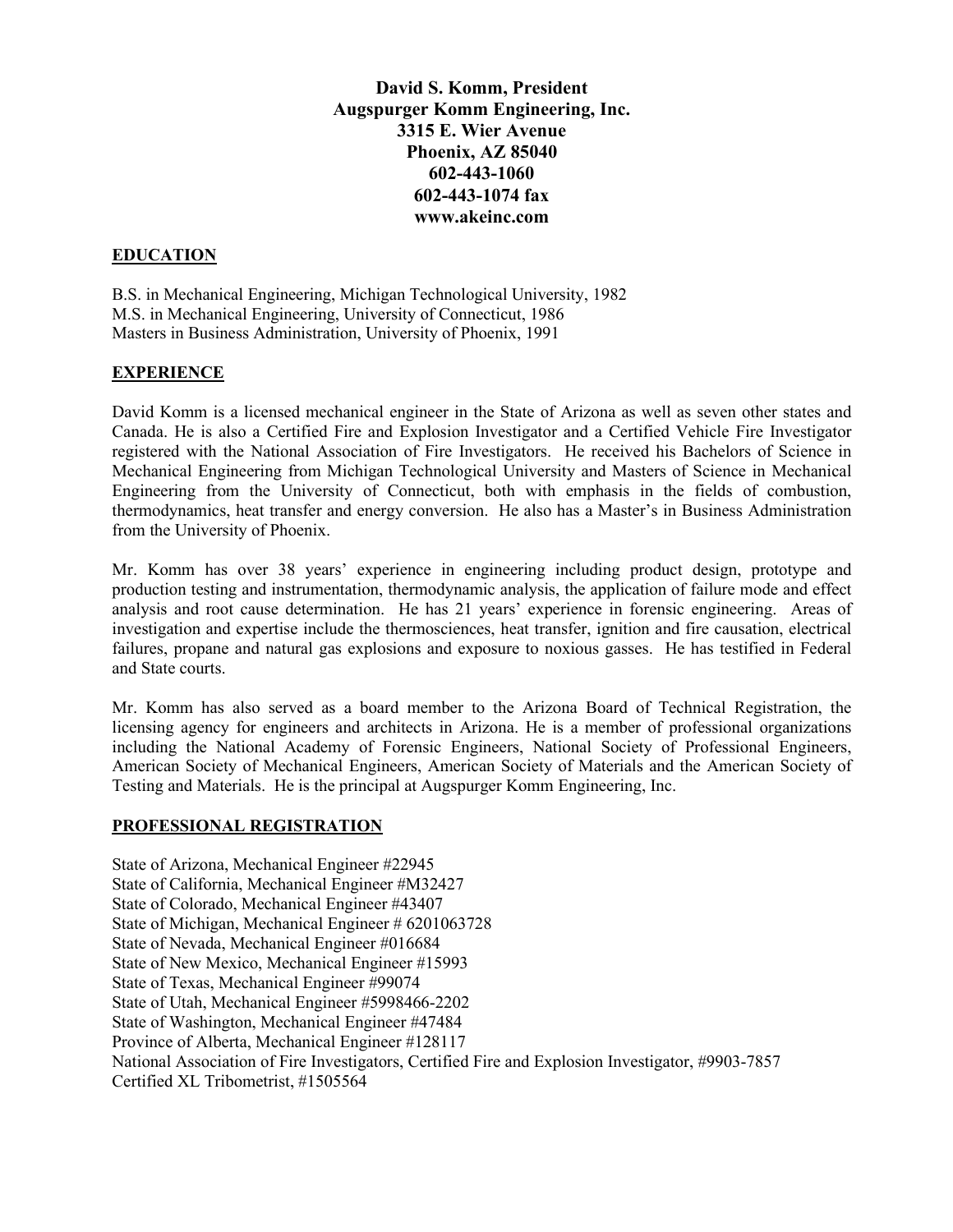**David S. Komm, President Augspurger Komm Engineering, Inc. 3315 E. Wier Avenue Phoenix, AZ 85040 602-443-1060 602-443-1074 fax www.akeinc.com**

#### **EDUCATION**

B.S. in Mechanical Engineering, Michigan Technological University, 1982 M.S. in Mechanical Engineering, University of Connecticut, 1986 Masters in Business Administration, University of Phoenix, 1991

### **EXPERIENCE**

David Komm is a licensed mechanical engineer in the State of Arizona as well as seven other states and Canada. He is also a Certified Fire and Explosion Investigator and a Certified Vehicle Fire Investigator registered with the National Association of Fire Investigators. He received his Bachelors of Science in Mechanical Engineering from Michigan Technological University and Masters of Science in Mechanical Engineering from the University of Connecticut, both with emphasis in the fields of combustion, thermodynamics, heat transfer and energy conversion. He also has a Master's in Business Administration from the University of Phoenix.

Mr. Komm has over 38 years' experience in engineering including product design, prototype and production testing and instrumentation, thermodynamic analysis, the application of failure mode and effect analysis and root cause determination. He has 21 years' experience in forensic engineering. Areas of investigation and expertise include the thermosciences, heat transfer, ignition and fire causation, electrical failures, propane and natural gas explosions and exposure to noxious gasses. He has testified in Federal and State courts.

Mr. Komm has also served as a board member to the Arizona Board of Technical Registration, the licensing agency for engineers and architects in Arizona. He is a member of professional organizations including the National Academy of Forensic Engineers, National Society of Professional Engineers, American Society of Mechanical Engineers, American Society of Materials and the American Society of Testing and Materials. He is the principal at Augspurger Komm Engineering, Inc.

#### **PROFESSIONAL REGISTRATION**

State of Arizona, Mechanical Engineer #22945 State of California, Mechanical Engineer #M32427 State of Colorado, Mechanical Engineer #43407 State of Michigan, Mechanical Engineer # 6201063728 State of Nevada, Mechanical Engineer #016684 State of New Mexico, Mechanical Engineer #15993 State of Texas, Mechanical Engineer #99074 State of Utah, Mechanical Engineer #5998466-2202 State of Washington, Mechanical Engineer #47484 Province of Alberta, Mechanical Engineer #128117 National Association of Fire Investigators, Certified Fire and Explosion Investigator, #9903-7857 Certified XL Tribometrist, #1505564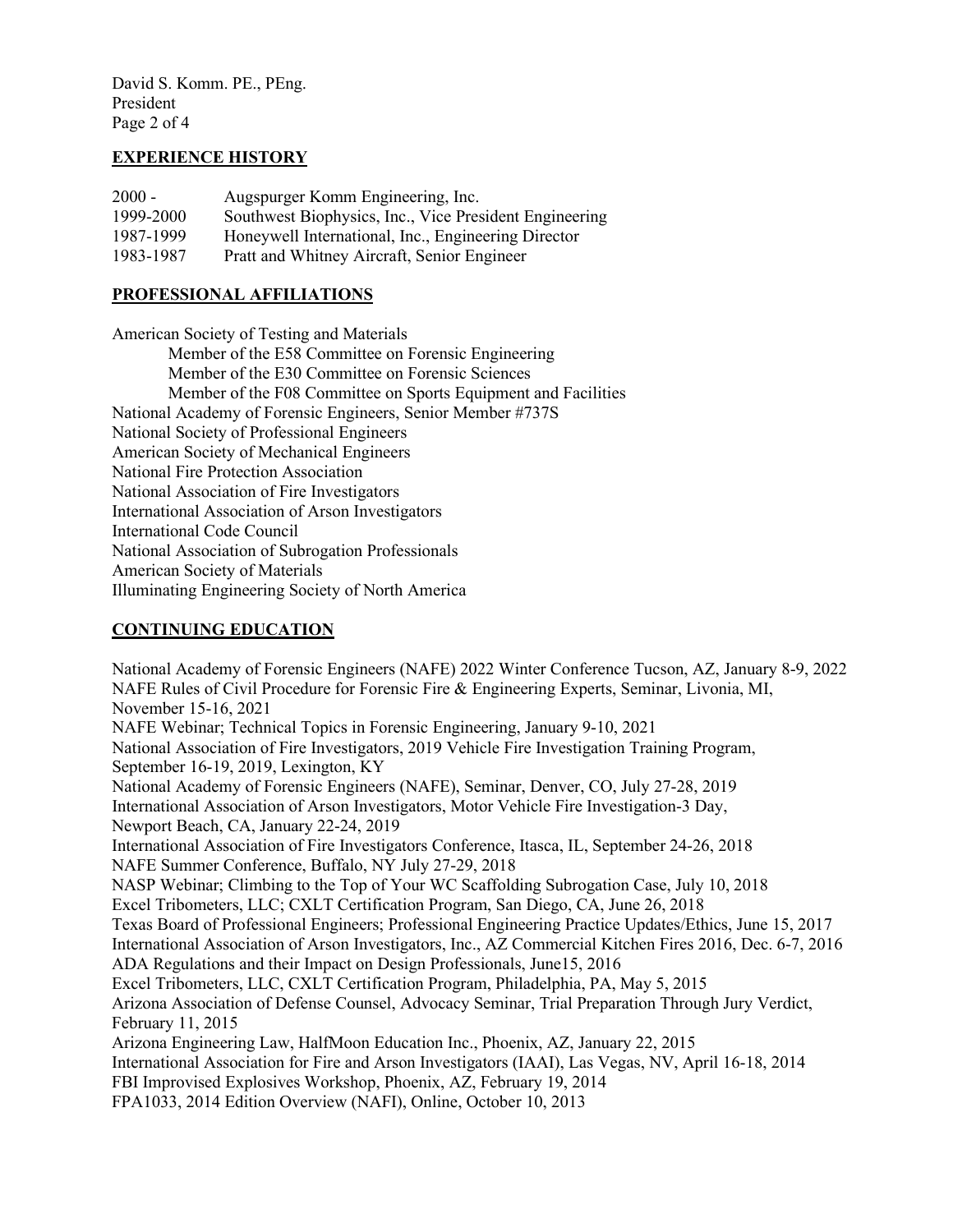David S. Komm. PE., PEng. President Page 2 of 4

### **EXPERIENCE HISTORY**

| $2000 -$  | Augspurger Komm Engineering, Inc.                      |
|-----------|--------------------------------------------------------|
| 1999-2000 | Southwest Biophysics, Inc., Vice President Engineering |
| 1987-1999 | Honeywell International, Inc., Engineering Director    |
| 1983-1987 | Pratt and Whitney Aircraft, Senior Engineer            |

# **PROFESSIONAL AFFILIATIONS**

American Society of Testing and Materials Member of the E58 Committee on Forensic Engineering Member of the E30 Committee on Forensic Sciences Member of the F08 Committee on Sports Equipment and Facilities National Academy of Forensic Engineers, Senior Member #737S National Society of Professional Engineers American Society of Mechanical Engineers National Fire Protection Association National Association of Fire Investigators International Association of Arson Investigators International Code Council National Association of Subrogation Professionals American Society of Materials Illuminating Engineering Society of North America

# **CONTINUING EDUCATION**

National Academy of Forensic Engineers (NAFE) 2022 Winter Conference Tucson, AZ, January 8-9, 2022 NAFE Rules of Civil Procedure for Forensic Fire & Engineering Experts, Seminar, Livonia, MI, November 15-16, 2021 NAFE Webinar; Technical Topics in Forensic Engineering, January 9-10, 2021 National Association of Fire Investigators, 2019 Vehicle Fire Investigation Training Program, September 16-19, 2019, Lexington, KY National Academy of Forensic Engineers (NAFE), Seminar, Denver, CO, July 27-28, 2019 International Association of Arson Investigators, Motor Vehicle Fire Investigation-3 Day, Newport Beach, CA, January 22-24, 2019 International Association of Fire Investigators Conference, Itasca, IL, September 24-26, 2018 NAFE Summer Conference, Buffalo, NY July 27-29, 2018 NASP Webinar; Climbing to the Top of Your WC Scaffolding Subrogation Case, July 10, 2018 Excel Tribometers, LLC; CXLT Certification Program, San Diego, CA, June 26, 2018 Texas Board of Professional Engineers; Professional Engineering Practice Updates/Ethics, June 15, 2017 International Association of Arson Investigators, Inc., AZ Commercial Kitchen Fires 2016, Dec. 6-7, 2016 ADA Regulations and their Impact on Design Professionals, June15, 2016 Excel Tribometers, LLC, CXLT Certification Program, Philadelphia, PA, May 5, 2015 Arizona Association of Defense Counsel, Advocacy Seminar, Trial Preparation Through Jury Verdict, February 11, 2015 Arizona Engineering Law, HalfMoon Education Inc., Phoenix, AZ, January 22, 2015 International Association for Fire and Arson Investigators (IAAI), Las Vegas, NV, April 16-18, 2014 FBI Improvised Explosives Workshop, Phoenix, AZ, February 19, 2014 FPA1033, 2014 Edition Overview (NAFI), Online, October 10, 2013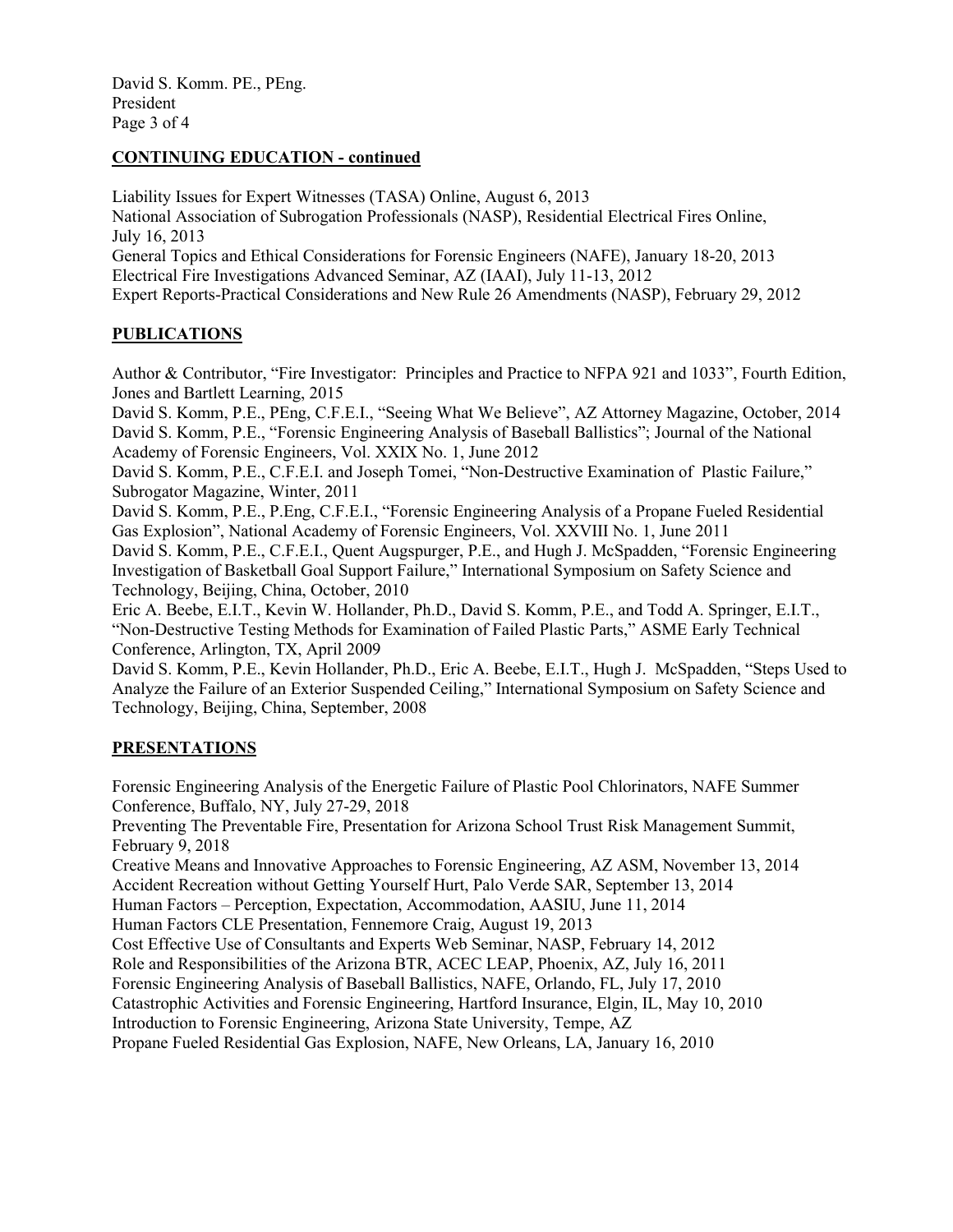David S. Komm. PE., PEng. President Page 3 of 4

### **CONTINUING EDUCATION - continued**

Liability Issues for Expert Witnesses (TASA) Online, August 6, 2013 National Association of Subrogation Professionals (NASP), Residential Electrical Fires Online, July 16, 2013 General Topics and Ethical Considerations for Forensic Engineers (NAFE), January 18-20, 2013 Electrical Fire Investigations Advanced Seminar, AZ (IAAI), July 11-13, 2012 Expert Reports-Practical Considerations and New Rule 26 Amendments (NASP), February 29, 2012

## **PUBLICATIONS**

Author & Contributor, "Fire Investigator: Principles and Practice to NFPA 921 and 1033", Fourth Edition, Jones and Bartlett Learning, 2015

David S. Komm, P.E., PEng, C.F.E.I., "Seeing What We Believe", AZ Attorney Magazine, October, 2014 David S. Komm, P.E., "Forensic Engineering Analysis of Baseball Ballistics"; Journal of the National Academy of Forensic Engineers, Vol. XXIX No. 1, June 2012

David S. Komm, P.E., C.F.E.I. and Joseph Tomei, "Non-Destructive Examination of Plastic Failure," Subrogator Magazine, Winter, 2011

David S. Komm, P.E., P.Eng, C.F.E.I., "Forensic Engineering Analysis of a Propane Fueled Residential Gas Explosion", National Academy of Forensic Engineers, Vol. XXVIII No. 1, June 2011

David S. Komm, P.E., C.F.E.I., Quent Augspurger, P.E., and Hugh J. McSpadden, "Forensic Engineering Investigation of Basketball Goal Support Failure," International Symposium on Safety Science and Technology, Beijing, China, October, 2010

Eric A. Beebe, E.I.T., Kevin W. Hollander, Ph.D., David S. Komm, P.E., and Todd A. Springer, E.I.T., "Non-Destructive Testing Methods for Examination of Failed Plastic Parts," ASME Early Technical Conference, Arlington, TX, April 2009

David S. Komm, P.E., Kevin Hollander, Ph.D., Eric A. Beebe, E.I.T., Hugh J. McSpadden, "Steps Used to Analyze the Failure of an Exterior Suspended Ceiling," International Symposium on Safety Science and Technology, Beijing, China, September, 2008

## **PRESENTATIONS**

Forensic Engineering Analysis of the Energetic Failure of Plastic Pool Chlorinators, NAFE Summer Conference, Buffalo, NY, July 27-29, 2018

Preventing The Preventable Fire, Presentation for Arizona School Trust Risk Management Summit, February 9, 2018

Creative Means and Innovative Approaches to Forensic Engineering, AZ ASM, November 13, 2014 Accident Recreation without Getting Yourself Hurt, Palo Verde SAR, September 13, 2014

Human Factors – Perception, Expectation, Accommodation, AASIU, June 11, 2014

Human Factors CLE Presentation, Fennemore Craig, August 19, 2013

Cost Effective Use of Consultants and Experts Web Seminar, NASP, February 14, 2012

Role and Responsibilities of the Arizona BTR, ACEC LEAP, Phoenix, AZ, July 16, 2011

Forensic Engineering Analysis of Baseball Ballistics, NAFE, Orlando, FL, July 17, 2010

Catastrophic Activities and Forensic Engineering, Hartford Insurance, Elgin, IL, May 10, 2010

Introduction to Forensic Engineering, Arizona State University, Tempe, AZ

Propane Fueled Residential Gas Explosion, NAFE, New Orleans, LA, January 16, 2010